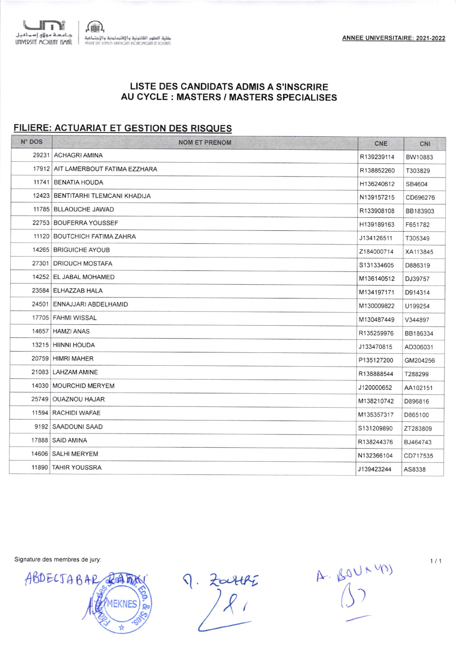## LISTE DES CANDIDATS ADMIS A S'INSCRIRE AU CYCLE : MASTERS / MASTERS SPECIALISES

## FILIERE: ACTUARIAT ET GESTION DES RISQUES

| N° DOS | <b>NOM ET PRENOM</b>               | CNE        | CNI      |
|--------|------------------------------------|------------|----------|
|        | 29231 ACHAGRI AMINA                | R139239114 | BW10883  |
|        | 17912 AIT LAMERBOUT FATIMA EZZHARA | R138852260 | T303829  |
|        | 11741 BENATIA HOUDA                | H136240612 | SB4604   |
|        | 12423 BENTITARHI TLEMCANI KHADIJA  | N139157215 | CD696276 |
|        | 11785   BLLAOUCHE JAWAD            | R133908108 | BB183903 |
|        | 22753 BOUFERRA YOUSSEF             | H139189163 | F651782  |
|        | 11120 BOUTCHICH FATIMA ZAHRA       | J134126511 | T305349  |
|        | 14265 BRIGUICHE AYOUB              | Z184000714 | XA113845 |
|        | 27301 DRIOUCH MOSTAFA              | S131334605 | D886319  |
|        | 14252 EL JABAL MOHAMED             | M136140512 | DJ39757  |
|        | 23584 ELHAZZAB HALA                | M134197171 | D914314  |
|        | 24501 ENNAJJARI ABDELHAMID         | M130009822 | U199254  |
|        | 17705 FAHMI WISSAL                 | M130487449 | V344897  |
|        | 14657   HAMZI ANAS                 | R135259976 | BB186334 |
|        | 13215 HIINNI HOUDA                 | J133470815 | AD306031 |
|        | 20759 HIMRI MAHER                  | P135127200 | GM204256 |
|        | 21083 LAHZAM AMINE                 | R138888544 | T288299  |
|        | 14030   MOURCHID MERYEM            | J120000652 | AA102151 |
|        | 25749 OUAZNOU HAJAR                | M138210742 | D896816  |
|        | 11594   RACHIDI WAFAE              | M135357317 | D865100  |
|        | 9192   SAADOUNI SAAD               | S131209890 | ZT283809 |
|        | 17888   SAID AMINA                 | R138244376 | BJ464743 |
|        | 14606   SALHI MERYEM               | N132366104 | CD717535 |
|        | 11890 TAHIR YOUSSRA                | J139423244 | AS8338   |

Signature des membres de jury:

ABDECTABAR REATING EKNES)

9. Zouthi

 $A. 601140$ 

 $1/1$